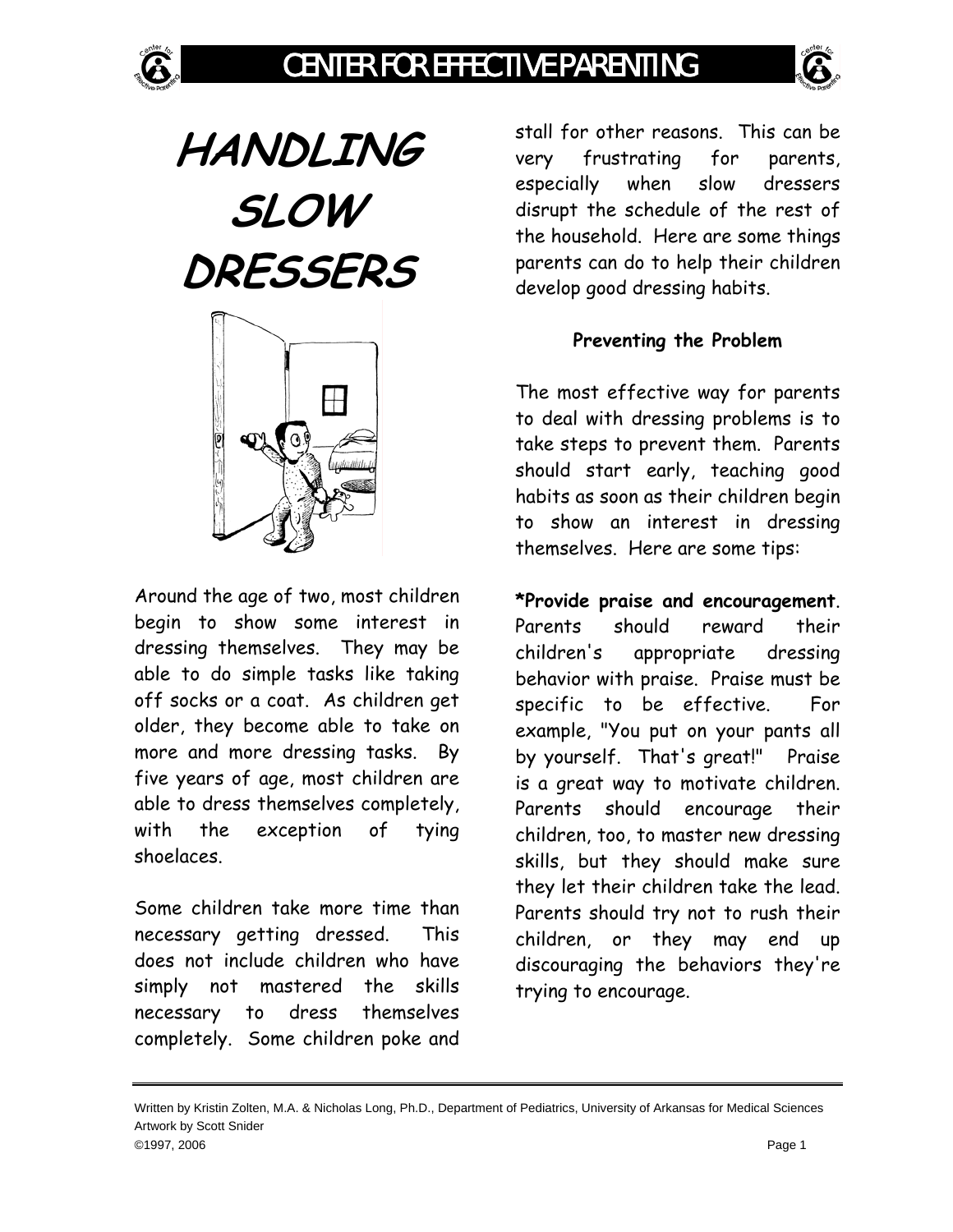

**HANDLING SLOW DRESSERS** 



Around the age of two, most children begin to show some interest in dressing themselves. They may be able to do simple tasks like taking off socks or a coat. As children get older, they become able to take on more and more dressing tasks. By five years of age, most children are able to dress themselves completely, with the exception of tying shoelaces.

Some children take more time than necessary getting dressed. This does not include children who have simply not mastered the skills necessary to dress themselves completely. Some children poke and

stall for other reasons. This can be very frustrating for parents, especially when slow dressers disrupt the schedule of the rest of the household. Here are some things parents can do to help their children develop good dressing habits.

## **Preventing the Problem**

The most effective way for parents to deal with dressing problems is to take steps to prevent them. Parents should start early, teaching good habits as soon as their children begin to show an interest in dressing themselves. Here are some tips:

**\*Provide praise and encouragement**. Parents should reward their children's appropriate dressing behavior with praise. Praise must be specific to be effective. For example, "You put on your pants all by yourself. That's great!" Praise is a great way to motivate children. Parents should encourage their children, too, to master new dressing skills, but they should make sure they let their children take the lead. Parents should try not to rush their children, or they may end up discouraging the behaviors they're trying to encourage.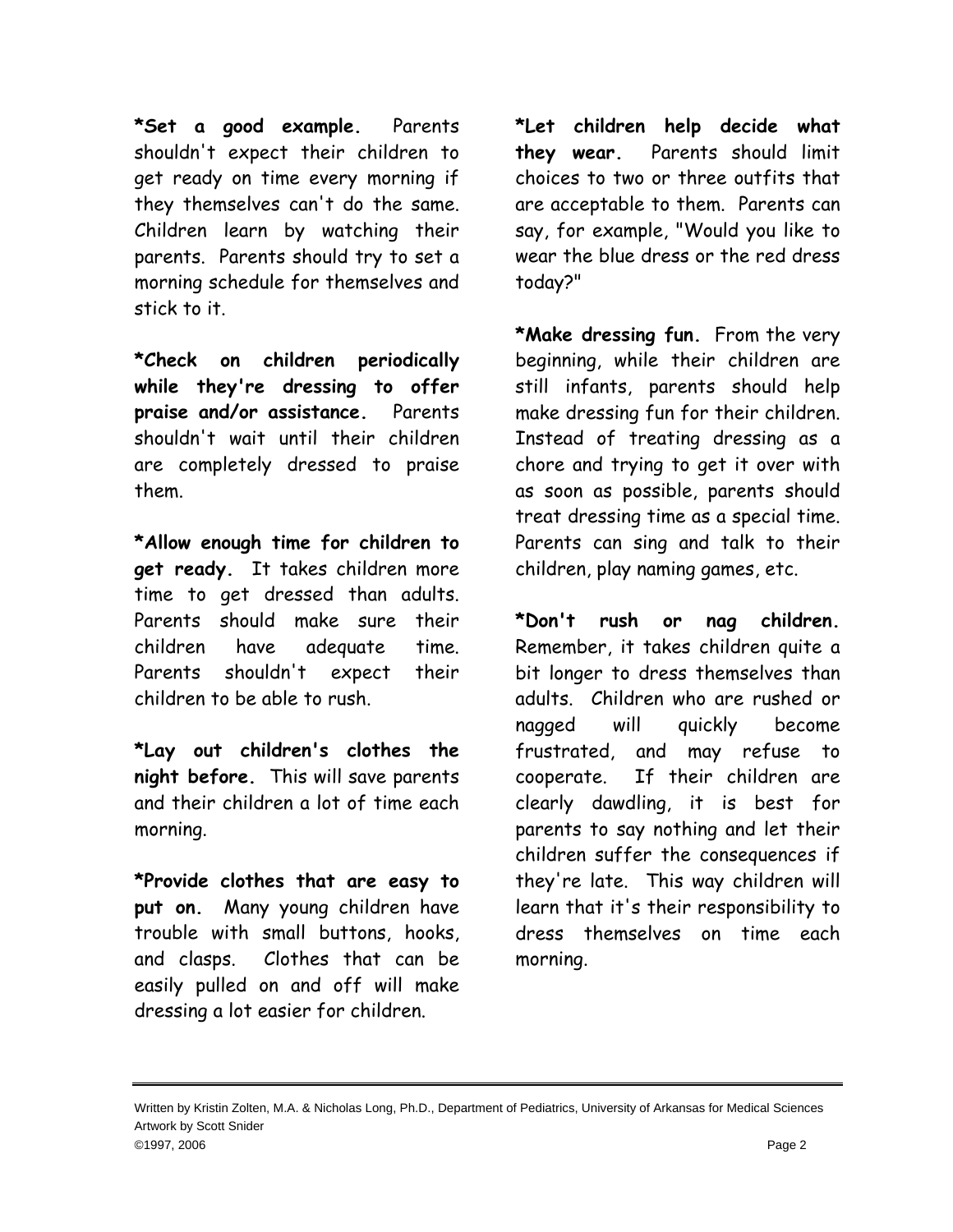**\*Set a good example.** Parents shouldn't expect their children to get ready on time every morning if they themselves can't do the same. Children learn by watching their parents. Parents should try to set a morning schedule for themselves and stick to it.

**\*Check on children periodically while they're dressing to offer praise and/or assistance.** Parents shouldn't wait until their children are completely dressed to praise them.

**\*Allow enough time for children to get ready.** It takes children more time to get dressed than adults. Parents should make sure their children have adequate time. Parents shouldn't expect their children to be able to rush.

**\*Lay out children's clothes the night before.** This will save parents and their children a lot of time each morning.

**\*Provide clothes that are easy to put on.** Many young children have trouble with small buttons, hooks, and clasps. Clothes that can be easily pulled on and off will make dressing a lot easier for children.

**\*Let children help decide what they wear.** Parents should limit choices to two or three outfits that are acceptable to them. Parents can say, for example, "Would you like to wear the blue dress or the red dress today?"

**\*Make dressing fun.** From the very beginning, while their children are still infants, parents should help make dressing fun for their children. Instead of treating dressing as a chore and trying to get it over with as soon as possible, parents should treat dressing time as a special time. Parents can sing and talk to their children, play naming games, etc.

**\*Don't rush or nag children.** Remember, it takes children quite a bit longer to dress themselves than adults. Children who are rushed or nagged will quickly become frustrated, and may refuse to cooperate. If their children are clearly dawdling, it is best for parents to say nothing and let their children suffer the consequences if they're late. This way children will learn that it's their responsibility to dress themselves on time each morning.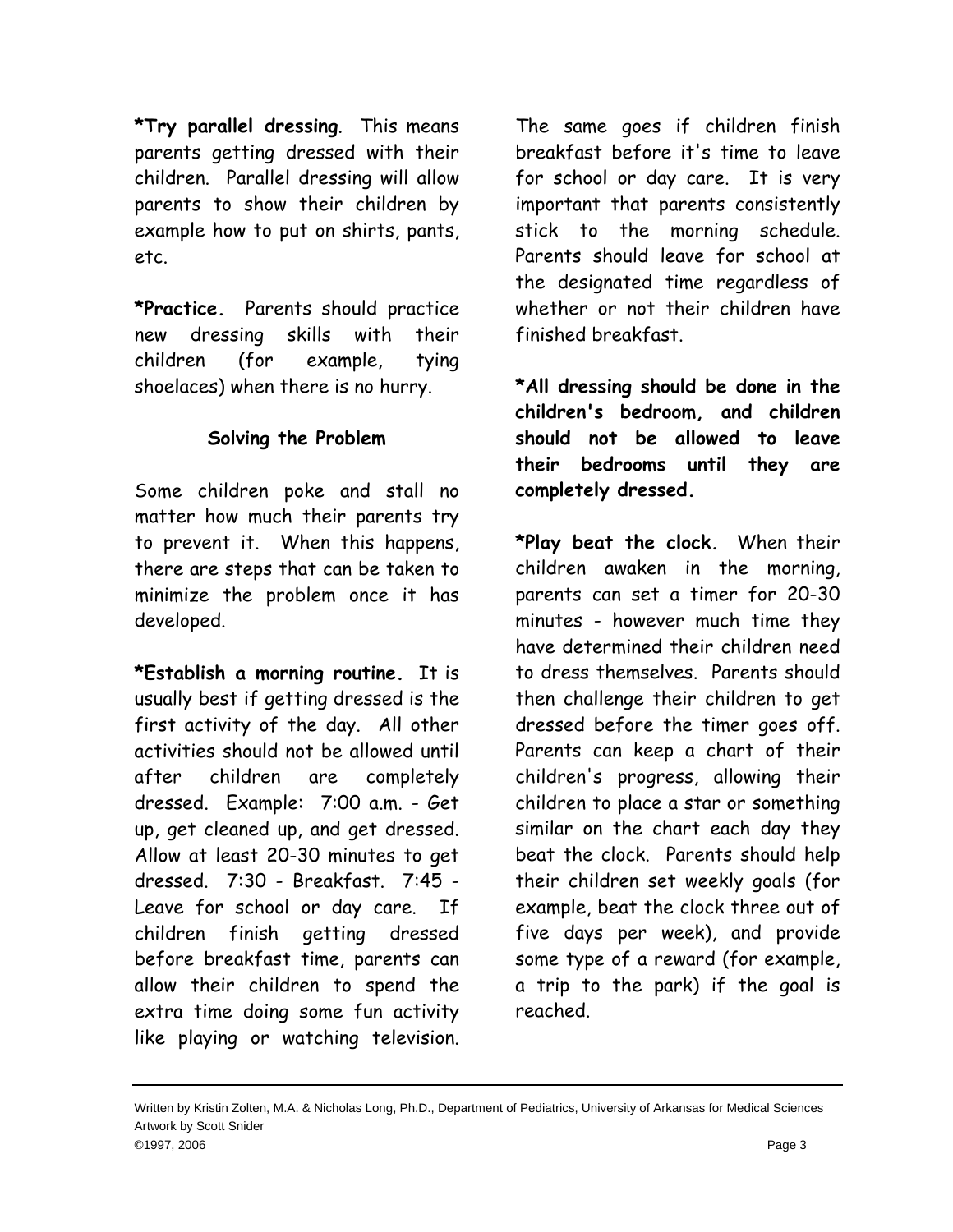**\*Try parallel dressing**. This means parents getting dressed with their children. Parallel dressing will allow parents to show their children by example how to put on shirts, pants, etc.

**\*Practice.** Parents should practice new dressing skills with their children (for example, tying shoelaces) when there is no hurry.

## **Solving the Problem**

Some children poke and stall no matter how much their parents try to prevent it. When this happens, there are steps that can be taken to minimize the problem once it has developed.

**\*Establish a morning routine.** It is usually best if getting dressed is the first activity of the day. All other activities should not be allowed until after children are completely dressed. Example: 7:00 a.m. - Get up, get cleaned up, and get dressed. Allow at least 20-30 minutes to get dressed. 7:30 - Breakfast. 7:45 - Leave for school or day care. If children finish getting dressed before breakfast time, parents can allow their children to spend the extra time doing some fun activity like playing or watching television.

The same goes if children finish breakfast before it's time to leave for school or day care. It is very important that parents consistently stick to the morning schedule. Parents should leave for school at the designated time regardless of whether or not their children have finished breakfast.

**\*All dressing should be done in the children's bedroom, and children should not be allowed to leave their bedrooms until they are completely dressed.**

**\*Play beat the clock.** When their children awaken in the morning, parents can set a timer for 20-30 minutes - however much time they have determined their children need to dress themselves. Parents should then challenge their children to get dressed before the timer goes off. Parents can keep a chart of their children's progress, allowing their children to place a star or something similar on the chart each day they beat the clock. Parents should help their children set weekly goals (for example, beat the clock three out of five days per week), and provide some type of a reward (for example, a trip to the park) if the goal is reached.